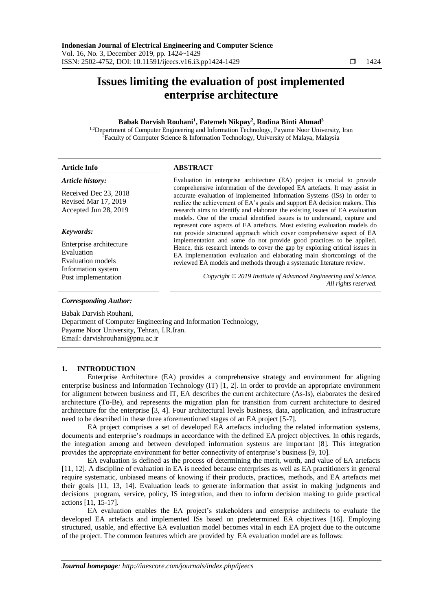# **Issues limiting the evaluation of post implemented enterprise architecture**

## **Babak Darvish Rouhani<sup>1</sup> , Fatemeh Nikpay<sup>2</sup> , Rodina Binti Ahmad<sup>3</sup>**

<sup>1,2</sup>Department of Computer Engineering and Information Technology, Payame Noor University, Iran <sup>2</sup>Faculty of Computer Science & Information Technology, University of Malaya, Malaysia

| <b>Article Info</b>                                                                           | <b>ABSTRACT</b>                                                                                                                                                                                                                                                                                                                                                                                                                                                               |
|-----------------------------------------------------------------------------------------------|-------------------------------------------------------------------------------------------------------------------------------------------------------------------------------------------------------------------------------------------------------------------------------------------------------------------------------------------------------------------------------------------------------------------------------------------------------------------------------|
| Article history:<br>Received Dec 23, 2018<br>Revised Mar 17, 2019<br>Accepted Jun 28, 2019    | Evaluation in enterprise architecture (EA) project is crucial to provide<br>comprehensive information of the developed EA artefacts. It may assist in<br>accurate evaluation of implemented Information Systems (ISs) in order to<br>realize the achievement of EA's goals and support EA decision makers. This<br>research aims to identify and elaborate the existing issues of EA evaluation<br>models. One of the crucial identified issues is to understand, capture and |
| Keywords:<br>Enterprise architecture<br>Evaluation<br>Evaluation models<br>Information system | represent core aspects of EA artefacts. Most existing evaluation models do<br>not provide structured approach which cover comprehensive aspect of EA<br>implementation and some do not provide good practices to be applied.<br>Hence, this research intends to cover the gap by exploring critical issues in<br>EA implementation evaluation and elaborating main shortcomings of the<br>reviewed EA models and methods through a systematic literature review.              |
| Post implementation<br><b>Corresponding Author:</b>                                           | Copyright © 2019 Institute of Advanced Engineering and Science.<br>All rights reserved.                                                                                                                                                                                                                                                                                                                                                                                       |

Babak Darvish Rouhani, Department of Computer Engineering and Information Technology, Payame Noor University, Tehran, I.R.Iran. Email: darvishrouhani@pnu.ac.ir

# **1. INTRODUCTION**

Enterprise Architecture (EA) provides a comprehensive strategy and environment for aligning enterprise business and Information Technology (IT) [1, 2]. In order to provide an appropriate environment for alignment between business and IT, EA describes the current architecture (As-Is), elaborates the desired architecture (To-Be), and represents the migration plan for transition from current architecture to desired architecture for the enterprise [3, 4]. Four architectural levels business, data, application, and infrastructure need to be described in these three aforementioned stages of an EA project [5-7].

EA project comprises a set of developed EA artefacts including the related information systems, documents and enterprise's roadmaps in accordance with the defined EA project objectives. In othis regards, the integration among and between developed information systems are important [8]. This integration provides the appropriate environment for better connectivity of enterprise's business [9, 10].

EA evaluation is defined as the process of determining the merit, worth, and value of EA artefacts [11, 12]. A discipline of evaluation in EA is needed because enterprises as well as EA practitioners in general require systematic, unbiased means of knowing if their products, practices, methods, and EA artefacts met their goals [11, 13, 14]. Evaluation leads to generate information that assist in making judgments and decisions program, service, policy, IS integration, and then to inform decision making to guide practical actions [11, 15-17].

EA evaluation enables the EA project's stakeholders and enterprise architects to evaluate the developed EA artefacts and implemented ISs based on predetermined EA objectives [16]. Employing structured, usable, and effective EA evaluation model becomes vital in each EA project due to the outcome of the project. The common features which are provided by EA evaluation model are as follows: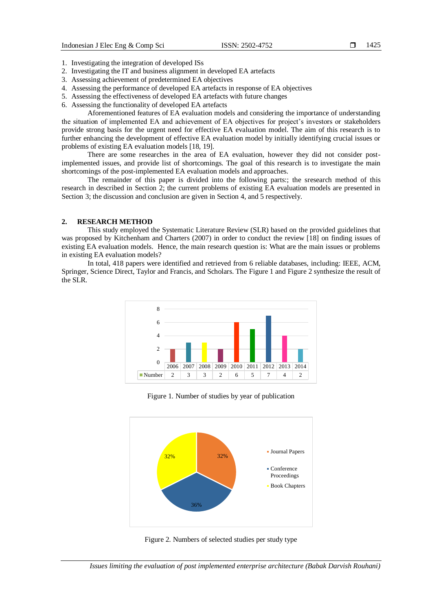- 1. Investigating the integration of developed ISs
- 2. Investigating the IT and business alignment in developed EA artefacts
- 3. Assessing achievement of predetermined EA objectives
- 4. Assessing the performance of developed EA artefacts in response of EA objectives
- 5. Assessing the effectiveness of developed EA artefacts with future changes
- 6. Assessing the functionality of developed EA artefacts

Aforementioned features of EA evaluation models and considering the importance of understanding the situation of implemented EA and achievement of EA objectives for project's investors or stakeholders provide strong basis for the urgent need for effective EA evaluation model. The aim of this research is to further enhancing the development of effective EA evaluation model by initially identifying crucial issues or problems of existing EA evaluation models [18, 19].

There are some researches in the area of EA evaluation, however they did not consider postimplemented issues, and provide list of shortcomings. The goal of this research is to investigate the main shortcomings of the post-implemented EA evaluation models and approaches.

The remainder of this paper is divided into the following parts:; the sresearch method of this research in described in Section 2; the current problems of existing EA evaluation models are presented in Section 3; the discussion and conclusion are given in Section 4, and 5 respectively.

#### **2. RESEARCH METHOD**

This study employed the Systematic Literature Review (SLR) based on the provided guidelines that was proposed by Kitchenham and Charters (2007) in order to conduct the review [18] on finding issues of existing EA evaluation models. Hence, the main research question is: What are the main issues or problems in existing EA evaluation models?

In total, 418 papers were identified and retrieved from 6 reliable databases, including: IEEE, ACM, Springer, Science Direct, Taylor and Francis, and Scholars. The Figure 1 and Figure 2 synthesize the result of the SLR.



Figure 1. Number of studies by year of publication



Figure 2. Numbers of selected studies per study type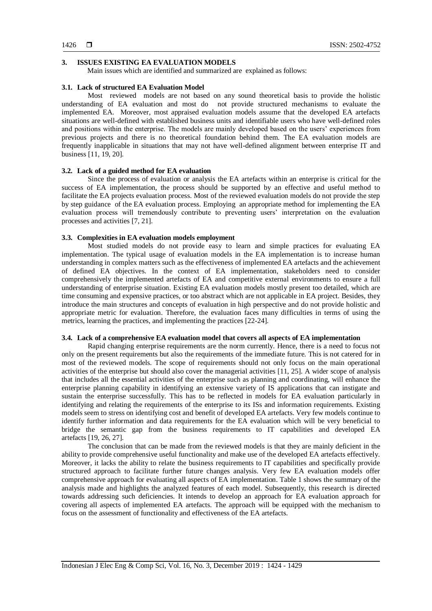# **3. ISSUES EXISTING EA EVALUATION MODELS**

Main issues which are identified and summarized are explained as follows:

## **3.1. Lack of structured EA Evaluation Model**

Most reviewed models are not based on any sound theoretical basis to provide the holistic understanding of EA evaluation and most do not provide structured mechanisms to evaluate the implemented EA. Moreover, most appraised evaluation models assume that the developed EA artefacts situations are well-defined with established business units and identifiable users who have well-defined roles and positions within the enterprise. The models are mainly developed based on the users' experiences from previous projects and there is no theoretical foundation behind them. The EA evaluation models are frequently inapplicable in situations that may not have well-defined alignment between enterprise IT and business [11, 19, 20].

## **3.2. Lack of a guided method for EA evaluation**

Since the process of evaluation or analysis the EA artefacts within an enterprise is critical for the success of EA implementation, the process should be supported by an effective and useful method to facilitate the EA projects evaluation process. Most of the reviewed evaluation models do not provide the step by step guidance of the EA evaluation process. Employing an appropriate method for implementing the EA evaluation process will tremendously contribute to preventing users' interpretation on the evaluation processes and activities [7, 21].

## **3.3. Complexities in EA evaluation models employment**

Most studied models do not provide easy to learn and simple practices for evaluating EA implementation. The typical usage of evaluation models in the EA implementation is to increase human understanding in complex matters such as the effectiveness of implemented EA artefacts and the achievement of defined EA objectives. In the context of EA implementation, stakeholders need to consider comprehensively the implemented artefacts of EA and competitive external environments to ensure a full understanding of enterprise situation. Existing EA evaluation models mostly present too detailed, which are time consuming and expensive practices, or too abstract which are not applicable in EA project. Besides, they introduce the main structures and concepts of evaluation in high perspective and do not provide holistic and appropriate metric for evaluation. Therefore, the evaluation faces many difficulties in terms of using the metrics, learning the practices, and implementing the practices [22-24].

### **3.4. Lack of a comprehensive EA evaluation model that covers all aspects of EA implementation**

Rapid changing enterprise requirements are the norm currently. Hence, there is a need to focus not only on the present requirements but also the requirements of the immediate future. This is not catered for in most of the reviewed models. The scope of requirements should not only focus on the main operational activities of the enterprise but should also cover the managerial activities [11, 25]. A wider scope of analysis that includes all the essential activities of the enterprise such as planning and coordinating, will enhance the enterprise planning capability in identifying an extensive variety of IS applications that can instigate and sustain the enterprise successfully. This has to be reflected in models for EA evaluation particularly in identifying and relating the requirements of the enterprise to its ISs and information requirements. Existing models seem to stress on identifying cost and benefit of developed EA artefacts. Very few models continue to identify further information and data requirements for the EA evaluation which will be very beneficial to bridge the semantic gap from the business requirements to IT capabilities and developed EA artefacts [19, 26, 27].

The conclusion that can be made from the reviewed models is that they are mainly deficient in the ability to provide comprehensive useful functionality and make use of the developed EA artefacts effectively. Moreover, it lacks the ability to relate the business requirements to IT capabilities and specifically provide structured approach to facilitate further future changes analysis. Very few EA evaluation models offer comprehensive approach for evaluating all aspects of EA implementation. Table 1 shows the summary of the analysis made and highlights the analyzed features of each model. Subsequently, this research is directed towards addressing such deficiencies. It intends to develop an approach for EA evaluation approach for covering all aspects of implemented EA artefacts. The approach will be equipped with the mechanism to focus on the assessment of functionality and effectiveness of the EA artefacts.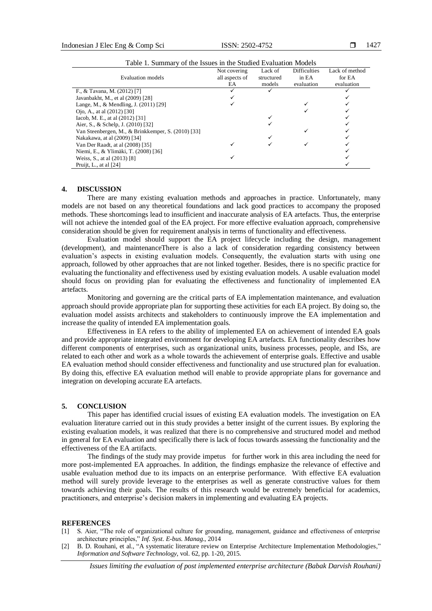| Lable 1. Summally be the issues in the studied Evaluation Models |                |            |                     |                |  |
|------------------------------------------------------------------|----------------|------------|---------------------|----------------|--|
|                                                                  | Not covering   | Lack of    | <b>Difficulties</b> | Lack of method |  |
| Evaluation models                                                | all aspects of | structured | in EA               | for EA         |  |
|                                                                  | EA             | models     | evaluation          | evaluation     |  |
| F., & Tavana, M. (2012) [7]                                      |                |            |                     |                |  |
| Javanbakht, M., et al (2009) [28]                                |                |            |                     |                |  |
| Lange, M., & Mendling, J. (2011) [29]                            |                |            |                     |                |  |
| Ojo, A., at al (2012) [30]                                       |                |            |                     |                |  |
| Iacob, M. E., at al (2012) [31]                                  |                |            |                     |                |  |
| Aier, S., & Schelp, J. (2010) [32]                               |                |            |                     |                |  |
| Van Steenbergen, M., & Brinkkemper, S. (2010) [33]               |                |            |                     |                |  |
| Nakakawa, at al (2009) [34]                                      |                |            |                     |                |  |
| Van Der Raadt, at al (2008) [35]                                 |                |            |                     |                |  |
| Niemi, E., & Ylimäki, T. (2008) [36]                             |                |            |                     |                |  |
| Weiss, S., at al (2013) [8]                                      |                |            |                     |                |  |
| Pruijt, L., at al $[24]$                                         |                |            |                     |                |  |

Table 1. Summary of the Issues in the Studied Evaluation Models

#### **4. DISCUSSION**

There are many existing evaluation methods and approaches in practice. Unfortunately, many models are not based on any theoretical foundations and lack good practices to accompany the proposed methods. These shortcomings lead to insufficient and inaccurate analysis of EA artefacts. Thus, the enterprise will not achieve the intended goal of the EA project. For more effective evaluation approach, comprehensive consideration should be given for requirement analysis in terms of functionality and effectiveness.

Evaluation model should support the EA project lifecycle including the design, management (development), and maintenanceThere is also a lack of consideration regarding consistency between evaluation's aspects in existing evaluation models. Consequently, the evaluation starts with using one approach, followed by other approaches that are not linked together. Besides, there is no specific practice for evaluating the functionality and effectiveness used by existing evaluation models. A usable evaluation model should focus on providing plan for evaluating the effectiveness and functionality of implemented EA artefacts.

Monitoring and governing are the critical parts of EA implementation maintenance, and evaluation approach should provide appropriate plan for supporting these activities for each EA project. By doing so, the evaluation model assists architects and stakeholders to continuously improve the EA implementation and increase the quality of intended EA implementation goals.

Effectiveness in EA refers to the ability of implemented EA on achievement of intended EA goals and provide appropriate integrated environment for developing EA artefacts. EA functionality describes how different components of enterprises, such as organizational units, business processes, people, and ISs, are related to each other and work as a whole towards the achievement of enterprise goals. Effective and usable EA evaluation method should consider effectiveness and functionality and use structured plan for evaluation. By doing this, effective EA evaluation method will enable to provide appropriate plans for governance and integration on developing accurate EA artefacts.

#### **5. CONCLUSION**

This paper has identified crucial issues of existing EA evaluation models. The investigation on EA evaluation literature carried out in this study provides a better insight of the current issues. By exploring the existing evaluation models, it was realized that there is no comprehensive and structured model and method in general for EA evaluation and specifically there is lack of focus towards assessing the functionality and the effectiveness of the EA artifacts.

The findings of the study may provide impetus for further work in this area including the need for more post-implemented EA approaches. In addition, the findings emphasize the relevance of effective and usable evaluation method due to its impacts on an enterprise performance. With effective EA evaluation method will surely provide leverage to the enterprises as well as generate constructive values for them towards achieving their goals. The results of this research would be extremely beneficial for academics, practitioners, and enterprise's decision makers in implementing and evaluating EA projects.

#### **REFERENCES**

- [1] S. Aier, "The role of organizational culture for grounding, management, guidance and effectiveness of enterprise architecture principles," *Inf. Syst. E-bus. Manag*., 2014
- [2] B. D. Rouhani, et al., "A systematic literature review on Enterprise Architecture Implementation Methodologies," *Information and Software Technology*, vol. 62, pp. 1-20, 2015.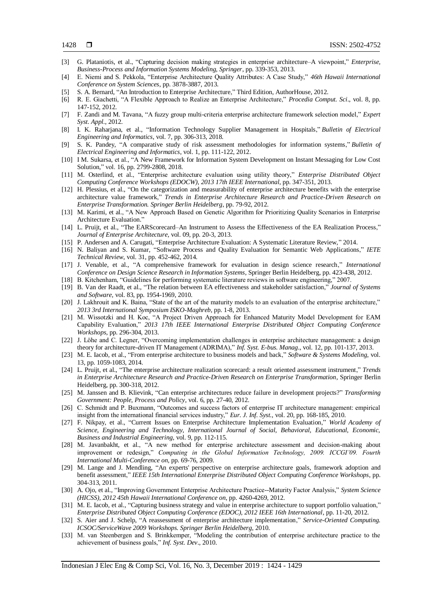- [3] G. Plataniotis, et al., "Capturing decision making strategies in enterprise architecture–A viewpoint," *Enterprise, Business-Process and Information Systems Modeling, Springer*, pp. 339-353, 2013.
- [4] E. Niemi and S. Pekkola, "Enterprise Architecture Quality Attributes: A Case Study," *46th Hawaii International Conference on System Sciences*, pp. 3878-3887, 2013.
- [5] S. A. Bernard, "An Introduction to Enterprise Architecture," Third Edition, AuthorHouse, 2012.
- [6] R. E. Giachetti, "A Flexible Approach to Realize an Enterprise Architecture," *Procedia Comput. Sci*., vol. 8, pp. 147-152, 2012.
- [7] F. Zandi and M. Tavana, "A fuzzy group multi-criteria enterprise architecture framework selection model," *Expert Syst. Appl*., 2012.
- [8] I. K. Raharjana, et al., "Information Technology Supplier Management in Hospitals," *Bulletin of Electrical Engineering and Informatics*, vol. 7, pp. 306-313, 2018.
- [9] S. K. Pandey, "A comparative study of risk assessment methodologies for information systems," *Bulletin of Electrical Engineering and Informatics*, vol. 1, pp. 111-122, 2012.
- [10] I M. Sukarsa, et al., "A New Framework for Information System Development on Instant Messaging for Low Cost Solution," vol. 16, pp. 2799-2808, 2018.
- [11] M. Osterlind, et al., "Enterprise architecture evaluation using utility theory," *Enterprise Distributed Object Computing Conference Workshops (EDOCW), 2013 17th IEEE International*, pp. 347-351, 2013.
- [12] H. Plessius, et al., "On the categorization and measurability of enterprise architecture benefits with the enterprise architecture value framework," *Trends in Enterprise Architecture Research and Practice-Driven Research on Enterprise Transformation. Springer Berlin Heidelberg*, pp. 79-92, 2012.
- [13] M. Karimi, et al., "A New Approach Based on Genetic Algorithm for Prioritizing Quality Scenarios in Enterprise Architecture Evaluation."
- [14] L. Pruijt, et al., "The EARScorecard–An Instrument to Assess the Effectiveness of the EA Realization Process," *Journal of Enterprise Architecture*, vol. 09, pp. 20-3, 2013.
- [15] P. Andersen and A. Carugati, "Enterprise Architecture Evaluation: A Systematic Literature Review," 2014.
- [16] N. Baliyan and S. Kumar, "Software Process and Quality Evaluation for Semantic Web Applications," *IETE Technical Review*, vol. 31, pp. 452-462, 2014.
- [17] J. Venable, et al., "A comprehensive framework for evaluation in design science research," *International Conference on Design Science Research in Information Systems*, Springer Berlin Heidelberg, pp. 423-438, 2012.
- [18] B. Kitchenham, "Guidelines for performing systematic literature reviews in software engineering," 2007.
- [19] B. Van der Raadt, et al., "The relation between EA effectiveness and stakeholder satisfaction," *Journal of Systems and Software*, vol. 83, pp. 1954-1969, 2010.
- [20] J. Lakhrouit and K. Baina, "State of the art of the maturity models to an evaluation of the enterprise architecture," *2013 3rd International Symposium ISKO-Maghreb*, pp. 1-8, 2013.
- [21] M. Wissotzki and H. Koc, "A Project Driven Approach for Enhanced Maturity Model Development for EAM Capability Evaluation," *2013 17th IEEE International Enterprise Distributed Object Computing Conference Workshops*, pp. 296-304, 2013.
- [22] J. Löhe and C. Legner, "Overcoming implementation challenges in enterprise architecture management: a design theory for architecture-driven IT Management (ADRIMA)," *Inf. Syst. E-bus. Manag*., vol. 12, pp. 101-137, 2013.
- [23] M. E. Iacob, et al., "From enterprise architecture to business models and back," *Software & Systems Modeling*, vol. 13, pp. 1059-1083, 2014.
- [24] L. Pruijt, et al., "The enterprise architecture realization scorecard: a result oriented assessment instrument," *Trends in Enterprise Architecture Research and Practice-Driven Research on Enterprise Transformation*, Springer Berlin Heidelberg, pp. 300-318, 2012.
- [25] M. Janssen and B. Klievink, "Can enterprise architectures reduce failure in development projects?" *Transforming Government: People, Process and Policy*, vol. 6, pp. 27-40, 2012.
- [26] C. Schmidt and P. Buxmann, "Outcomes and success factors of enterprise IT architecture management: empirical insight from the international financial services industry," *Eur. J. Inf. Syst.*, vol. 20, pp. 168-185, 2010.
- [27] F. Nikpay, et al., "Current Issues on Enterprise Architecture Implementation Evaluation," *World Academy of Science, Engineering and Technology, International Journal of Social, Behavioral, Educational, Economic, Business and Industrial Engineering*, vol. 9, pp. 112-115.
- [28] M. Javanbakht, et al., "A new method for enterprise architecture assessment and decision-making about improvement or redesign," *Computing in the Global Information Technology, 2009. ICCGI'09. Fourth International Multi-Conference on*, pp. 69-76, 2009.
- [29] M. Lange and J. Mendling, "An experts' perspective on enterprise architecture goals, framework adoption and benefit assessment," *IEEE 15th International Enterprise Distributed Object Computing Conference Workshops*, pp. 304-313, 2011.
- [30] A. Ojo, et al., "Improving Government Enterprise Architecture Practice--Maturity Factor Analysis," *System Science (HICSS), 2012 45th Hawaii International Conference on*, pp. 4260-4269, 2012.
- [31] M. E. Iacob, et al., "Capturing business strategy and value in enterprise architecture to support portfolio valuation," *Enterprise Distributed Object Computing Conference (EDOC), 2012 IEEE 16th International*, pp. 11-20, 2012.
- [32] S. Aier and J. Schelp, "A reassessment of enterprise architecture implementation," *Service-Oriented Computing. ICSOC/ServiceWave 2009 Workshops. Springer Berlin Heidelberg*, 2010.
- [33] M. van Steenbergen and S. Brinkkemper, "Modeling the contribution of enterprise architecture practice to the achievement of business goals," *Inf. Syst. Dev*., 2010.